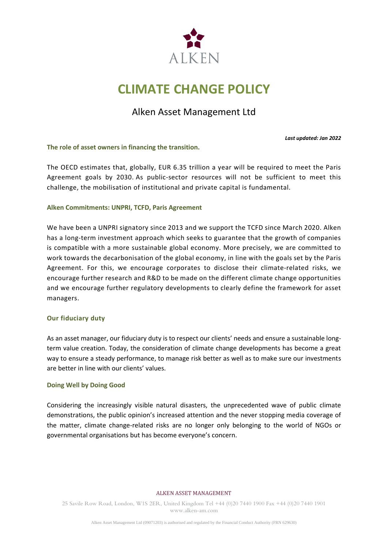

# **CLIMATE CHANGE POLICY**

## Alken Asset Management Ltd

*Last updated: Jan 2022*

**The role of asset owners in financing the transition.**

The OECD estimates that, globally, EUR 6.35 trillion a year will be required to meet the Paris Agreement goals by 2030. As public-sector resources will not be sufficient to meet this challenge, the mobilisation of institutional and private capital is fundamental.

## **Alken Commitments: UNPRI, TCFD, Paris Agreement**

We have been a UNPRI signatory since 2013 and we support the TCFD since March 2020. Alken has a long-term investment approach which seeks to guarantee that the growth of companies is compatible with a more sustainable global economy. More precisely, we are committed to work towards the decarbonisation of the global economy, in line with the goals set by the Paris Agreement. For this, we encourage corporates to disclose their climate-related risks, we encourage further research and R&D to be made on the different climate change opportunities and we encourage further regulatory developments to clearly define the framework for asset managers.

## **Our fiduciary duty**

As an asset manager, our fiduciary duty is to respect our clients' needs and ensure a sustainable longterm value creation. Today, the consideration of climate change developments has become a great way to ensure a steady performance, to manage risk better as well as to make sure our investments are better in line with our clients' values.

#### **Doing Well by Doing Good**

Considering the increasingly visible natural disasters, the unprecedented wave of public climate demonstrations, the public opinion's increased attention and the never stopping media coverage of the matter, climate change-related risks are no longer only belonging to the world of NGOs or governmental organisations but has become everyone's concern.

#### ALKEN ASSET MANAGEMENT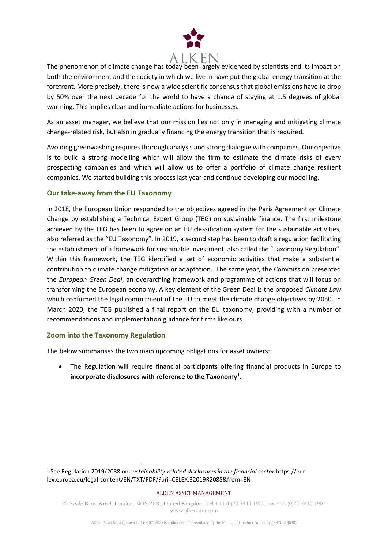

The phenomenon of climate change has today been largely evidenced by scientists and its impact on both the environment and the society in which we live in have put the global energy transition at the forefront. More precisely, there is now a wide scientific consensus that global emissions have to drop by 50% over the next decade for the world to have a chance of staying at 1.5 degrees of global warming. This implies clear and immediate actions for businesses.

As an asset manager, we believe that our mission lies not only in managing and mitigating climate change-related risk, but also in gradually financing the energy transition that is required.

Avoiding greenwashing requires thorough analysis and strong dialogue with companies. Our objective is to build a strong modelling which will allow the firm to estimate the climate risks of every prospecting companies and which will allow us to offer a portfolio of climate change resilient companies. We started building this process last year and continue developing our modelling.

## **Our take-away from the EU Taxonomy**

In 2018, the European Union responded to the objectives agreed in the Paris Agreement on Climate Change by establishing a Technical Expert Group (TEG) on sustainable finance. The first milestone achieved by the TEG has been to agree on an EU classification system for the sustainable activities, also referred as the "EU Taxonomy". In 2019, a second step has been to draft a regulation facilitating the establishment of a framework for sustainable investment, also called the "Taxonomy Regulation". Within this framework, the TEG identified a set of economic activities that make a substantial contribution to climate change mitigation or adaptation. The same year, the Commission presented the *European Green Deal*, an overarching framework and programme of actions that will focus on transforming the European economy. A key element of the Green Deal is the proposed *Climate Law* which confirmed the legal commitment of the EU to meet the climate change objectives by 2050. In March 2020, the TEG published a final report on the EU taxonomy, providing with a number of recommendations and implementation guidance for firms like ours.

## **Zoom into the Taxonomy Regulation**

The below summarises the two main upcoming obligations for asset owners:

• The Regulation will require financial participants offering financial products in Europe to **incorporate disclosures with reference to the Taxonomy<sup>1</sup> .** 

#### ALKEN ASSET MANAGEMENT

<sup>1</sup> See Regulation 2019/2088 on *sustainability-related disclosures in the financial sector* https://eurlex.europa.eu/legal-content/EN/TXT/PDF/?uri=CELEX:32019R2088&from=EN

<sup>25</sup> Savile Row Road, London, W1S 2ER, United Kingdom Tel +44 (0)20 7440 1900 Fax +44 (0)20 7440 1901 www.alken-am.com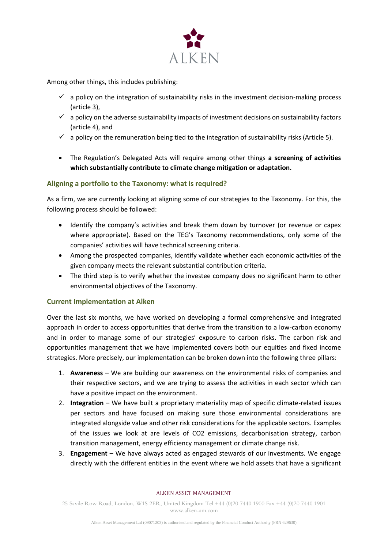

Among other things, this includes publishing:

- $\checkmark$  a policy on the integration of sustainability risks in the investment decision-making process (article 3),
- $\checkmark$  a policy on the adverse sustainability impacts of investment decisions on sustainability factors (article 4), and
- $\checkmark$  a policy on the remuneration being tied to the integration of sustainability risks (Article 5).
- The Regulation's Delegated Acts will require among other things **a screening of activities which substantially contribute to climate change mitigation or adaptation.**

## **Aligning a portfolio to the Taxonomy: what is required?**

As a firm, we are currently looking at aligning some of our strategies to the Taxonomy. For this, the following process should be followed:

- Identify the company's activities and break them down by turnover (or revenue or capex where appropriate). Based on the TEG's Taxonomy recommendations, only some of the companies' activities will have technical screening criteria.
- Among the prospected companies, identify validate whether each economic activities of the given company meets the relevant substantial contribution criteria.
- The third step is to verify whether the investee company does no significant harm to other environmental objectives of the Taxonomy.

## **Current Implementation at Alken**

Over the last six months, we have worked on developing a formal comprehensive and integrated approach in order to access opportunities that derive from the transition to a low-carbon economy and in order to manage some of our strategies' exposure to carbon risks. The carbon risk and opportunities management that we have implemented covers both our equities and fixed income strategies. More precisely, our implementation can be broken down into the following three pillars:

- 1. **Awareness** We are building our awareness on the environmental risks of companies and their respective sectors, and we are trying to assess the activities in each sector which can have a positive impact on the environment.
- 2. **Integration** We have built a proprietary materiality map of specific climate-related issues per sectors and have focused on making sure those environmental considerations are integrated alongside value and other risk considerations for the applicable sectors. Examples of the issues we look at are levels of CO2 emissions, decarbonisation strategy, carbon transition management, energy efficiency management or climate change risk.
- 3. **Engagement**  We have always acted as engaged stewards of our investments. We engage directly with the different entities in the event where we hold assets that have a significant

#### ALKEN ASSET MANAGEMENT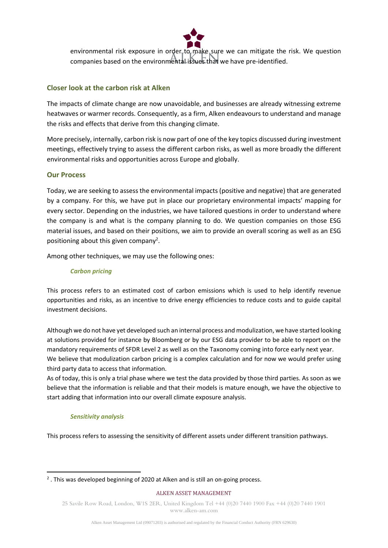

environmental risk exposure in order to make sure we can mitigate the risk. We question companies based on the environmental issues that we have pre-identified.

## **Closer look at the carbon risk at Alken**

The impacts of climate change are now unavoidable, and businesses are already witnessing extreme heatwaves or warmer records. Consequently, as a firm, Alken endeavours to understand and manage the risks and effects that derive from this changing climate.

More precisely, internally, carbon risk is now part of one of the key topics discussed during investment meetings, effectively trying to assess the different carbon risks, as well as more broadly the different environmental risks and opportunities across Europe and globally.

## **Our Process**

Today, we are seeking to assess the environmental impacts (positive and negative) that are generated by a company. For this, we have put in place our proprietary environmental impacts' mapping for every sector. Depending on the industries, we have tailored questions in order to understand where the company is and what is the company planning to do. We question companies on those ESG material issues, and based on their positions, we aim to provide an overall scoring as well as an ESG positioning about this given company<sup>2</sup>.

Among other techniques, we may use the following ones:

### *Carbon pricing*

This process refers to an estimated cost of carbon emissions which is used to help identify revenue opportunities and risks, as an incentive to drive energy efficiencies to reduce costs and to guide capital investment decisions.

Although we do not have yet developed such an internal process and modulization, we have started looking at solutions provided for instance by Bloomberg or by our ESG data provider to be able to report on the mandatory requirements of SFDR Level 2 as well as on the Taxonomy coming into force early next year. We believe that modulization carbon pricing is a complex calculation and for now we would prefer using third party data to access that information.

As of today, this is only a trial phase where we test the data provided by those third parties. As soon as we believe that the information is reliable and that their models is mature enough, we have the objective to start adding that information into our overall climate exposure analysis.

#### *Sensitivity analysis*

This process refers to assessing the sensitivity of different assets under different transition pathways.

#### ALKEN ASSET MANAGEMENT

 $2$ . This was developed beginning of 2020 at Alken and is still an on-going process.

<sup>25</sup> Savile Row Road, London, W1S 2ER, United Kingdom Tel +44 (0)20 7440 1900 Fax +44 (0)20 7440 1901 www.alken-am.com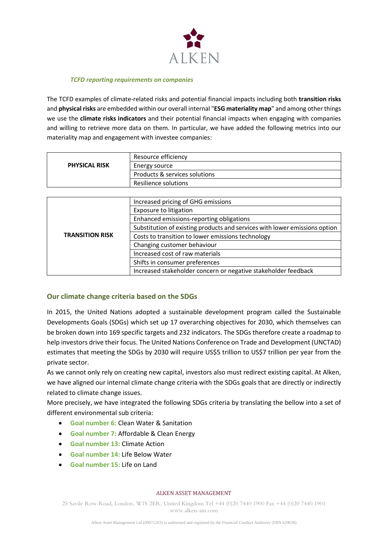

#### *TCFD reporting requirements on companies*

The TCFD examples of climate-related risks and potential financial impacts including both **transition risks** and **physical risks** are embedded within our overall internal "**ESG materiality map**" and among other things we use the **climate risks indicators** and their potential financial impacts when engaging with companies and willing to retrieve more data on them. In particular, we have added the following metrics into our materiality map and engagement with investee companies:

|                      | Resource efficiency           |  |
|----------------------|-------------------------------|--|
| <b>PHYSICAL RISK</b> | Energy source                 |  |
|                      | Products & services solutions |  |
|                      | Resilience solutions          |  |

| <b>TRANSITION RISK</b> | Increased pricing of GHG emissions                                         |  |  |
|------------------------|----------------------------------------------------------------------------|--|--|
|                        | <b>Exposure to litigation</b>                                              |  |  |
|                        | Enhanced emissions-reporting obligations                                   |  |  |
|                        | Substitution of existing products and services with lower emissions option |  |  |
|                        | Costs to transition to lower emissions technology                          |  |  |
|                        | Changing customer behaviour                                                |  |  |
|                        | Increased cost of raw materials                                            |  |  |
|                        | Shifts in consumer preferences                                             |  |  |
|                        | Increased stakeholder concern or negative stakeholder feedback             |  |  |

## **Our climate change criteria based on the SDGs**

In 2015, the United Nations adopted a sustainable development program called the Sustainable Developments Goals (SDGs) which set up 17 overarching objectives for 2030, which themselves can be broken down into 169 specific targets and 232 indicators. The SDGs therefore create a roadmap to help investors drive their focus. The United Nations Conference on Trade and Development (UNCTAD) estimates that meeting the SDGs by 2030 will require US\$5 trillion to US\$7 trillion per year from the private sector.

As we cannot only rely on creating new capital, investors also must redirect existing capital. At Alken, we have aligned our internal climate change criteria with the SDGs goals that are directly or indirectly related to climate change issues.

More precisely, we have integrated the following SDGs criteria by translating the bellow into a set of different environmental sub criteria:

- **Goal number 6:** Clean Water & Sanitation
- **Goal number 7:** Affordable & Clean Energy
- **Goal number 13:** Climate Action
- **Goal number 14:** Life Below Water
- **Goal number 15:** Life on Land

#### ALKEN ASSET MANAGEMENT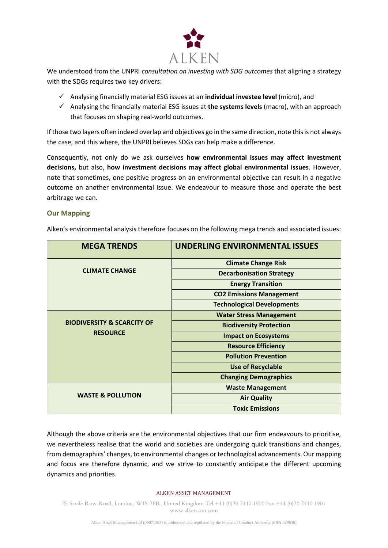

We understood from the UNPRI *consultation on investing with SDG outcomes* that aligning a strategy with the SDGs requires two key drivers:

- ✓ Analysing financially material ESG issues at an **individual investee level** (micro), and
- ✓ Analysing the financially material ESG issues at **the systems levels** (macro), with an approach that focuses on shaping real-world outcomes.

If those two layers often indeed overlap and objectives go in the same direction, note this is not always the case, and this where, the UNPRI believes SDGs can help make a difference.

Consequently, not only do we ask ourselves **how environmental issues may affect investment decisions,** but also, **how investment decisions may affect global environmental issues**. However, note that sometimes, one positive progress on an environmental objective can result in a negative outcome on another environmental issue. We endeavour to measure those and operate the best arbitrage we can.

## **Our Mapping**

| <b>MEGA TRENDS</b>                    | <b>UNDERLING ENVIRONMENTAL ISSUES</b> |  |  |
|---------------------------------------|---------------------------------------|--|--|
|                                       | <b>Climate Change Risk</b>            |  |  |
| <b>CLIMATE CHANGE</b>                 | <b>Decarbonisation Strategy</b>       |  |  |
|                                       | <b>Energy Transition</b>              |  |  |
|                                       | <b>CO2 Emissions Management</b>       |  |  |
|                                       | <b>Technological Developments</b>     |  |  |
|                                       | <b>Water Stress Management</b>        |  |  |
| <b>BIODIVERSITY &amp; SCARCITY OF</b> | <b>Biodiversity Protection</b>        |  |  |
| <b>RESOURCE</b>                       | <b>Impact on Ecosystems</b>           |  |  |
|                                       | <b>Resource Efficiency</b>            |  |  |
|                                       | <b>Pollution Prevention</b>           |  |  |
|                                       | <b>Use of Recyclable</b>              |  |  |
|                                       | <b>Changing Demographics</b>          |  |  |
|                                       | <b>Waste Management</b>               |  |  |
| <b>WASTE &amp; POLLUTION</b>          | <b>Air Quality</b>                    |  |  |
|                                       | <b>Toxic Emissions</b>                |  |  |

Alken's environmental analysis therefore focuses on the following mega trends and associated issues:

Although the above criteria are the environmental objectives that our firm endeavours to prioritise, we nevertheless realise that the world and societies are undergoing quick transitions and changes, from demographics' changes, to environmental changes or technological advancements. Our mapping and focus are therefore dynamic, and we strive to constantly anticipate the different upcoming dynamics and priorities.

#### ALKEN ASSET MANAGEMENT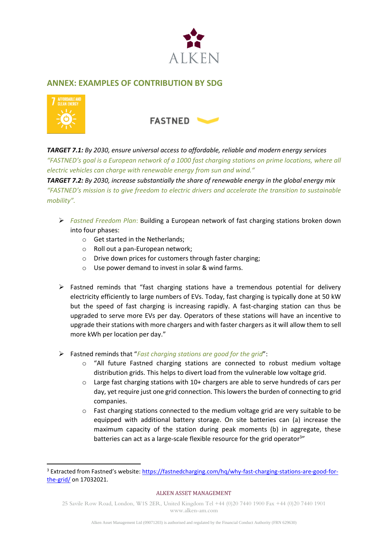

## **ANNEX: EXAMPLES OF CONTRIBUTION BY SDG**





*TARGET 7.1: By 2030, ensure universal access to affordable, reliable and modern energy services "FASTNED's goal is a European network of a 1000 fast charging stations on prime locations, where all electric vehicles can charge with renewable energy from sun and wind."*

*TARGET 7.2: By 2030, increase substantially the share of renewable energy in the global energy mix "FASTNED's mission is to give freedom to electric drivers and accelerate the transition to sustainable mobility".* 

- ➢ *Fastned Freedom Plan*: Building a European network of fast charging stations broken down into four phases:
	- o Get started in the Netherlands;
	- o Roll out a pan-European network;
	- o Drive down prices for customers through faster charging;
	- o Use power demand to invest in solar & wind farms.
- ➢ Fastned reminds that "fast charging stations have a tremendous potential for delivery electricity efficiently to large numbers of EVs. Today, fast charging is typically done at 50 kW but the speed of fast charging is increasing rapidly. A fast-charging station can thus be upgraded to serve more EVs per day. Operators of these stations will have an incentive to upgrade their stations with more chargers and with faster chargers as it will allow them to sell more kWh per location per day."
- ➢ Fastned reminds that "*Fast charging stations are good for the grid*":
	- o "All future Fastned charging stations are connected to robust medium voltage distribution grids. This helps to divert load from the vulnerable low voltage grid.
	- $\circ$  Large fast charging stations with 10+ chargers are able to serve hundreds of cars per day, yet require just one grid connection. This lowers the burden of connecting to grid companies.
	- $\circ$  Fast charging stations connected to the medium voltage grid are very suitable to be equipped with additional battery storage. On site batteries can (a) increase the maximum capacity of the station during peak moments (b) in aggregate, these batteries can act as a large-scale flexible resource for the grid operator<sup>3</sup>"

#### ALKEN ASSET MANAGEMENT

<sup>3</sup> Extracted from Fastned's website: [https://fastnedcharging.com/hq/why-fast-charging-stations-are-good-for](https://fastnedcharging.com/hq/why-fast-charging-stations-are-good-for-the-grid/)[the-grid/](https://fastnedcharging.com/hq/why-fast-charging-stations-are-good-for-the-grid/) on 17032021.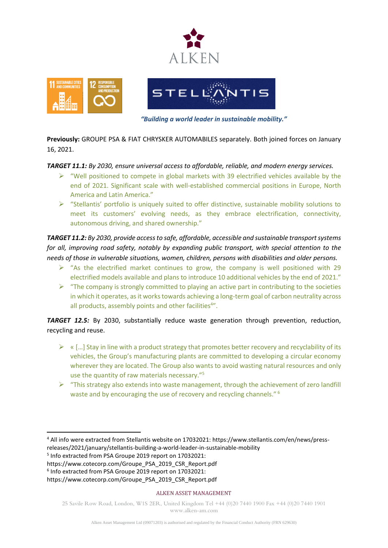





*"Building a world leader in sustainable mobility."*

**Previously:** GROUPE PSA & FIAT CHRYSKER AUTOMABILES separately. Both joined forces on January 16, 2021.

## *TARGET 11.1: By 2030, ensure universal access to affordable, reliable, and modern energy services.*

- $\triangleright$  "Well positioned to compete in global markets with 39 electrified vehicles available by the end of 2021. Significant scale with well-established commercial positions in Europe, North America and Latin America."
- $\triangleright$  "Stellantis' portfolio is uniquely suited to offer distinctive, sustainable mobility solutions to meet its customers' evolving needs, as they embrace electrification, connectivity, autonomous driving, and shared ownership."

*TARGET 11.2: By 2030, provide access to safe, affordable, accessible and sustainable transport systems for all, improving road safety, notably by expanding public transport, with special attention to the needs of those in vulnerable situations, women, children, persons with disabilities and older persons.*

- $\triangleright$  "As the electrified market continues to grow, the company is well positioned with 29 electrified models available and plans to introduce 10 additional vehicles by the end of 2021."
- $\triangleright$  "The company is strongly committed to playing an active part in contributing to the societies in which it operates, as it works towards achieving a long-term goal of carbon neutrality across all products, assembly points and other facilities<sup>4"</sup>.

*TARGET 12.5:* By 2030, substantially reduce waste generation through prevention, reduction, recycling and reuse.

- $\triangleright$  « [...] Stay in line with a product strategy that promotes better recovery and recyclability of its vehicles, the Group's manufacturing plants are committed to developing a circular economy wherever they are located. The Group also wants to avoid wasting natural resources and only use the quantity of raw materials necessary."<sup>5</sup>
- $\triangleright$  "This strategy also extends into waste management, through the achievement of zero landfill waste and by encouraging the use of recovery and recycling channels." <sup>6</sup>

#### ALKEN ASSET MANAGEMENT

<sup>4</sup> All info were extracted from Stellantis website on 17032021: https://www.stellantis.com/en/news/pressreleases/2021/january/stellantis-building-a-world-leader-in-sustainable-mobility

<sup>5</sup> Info extracted from PSA Groupe 2019 report on 17032021:

https://www.cotecorp.com/Groupe\_PSA\_2019\_CSR\_Report.pdf

<sup>6</sup> Info extracted from PSA Groupe 2019 report on 17032021: https://www.cotecorp.com/Groupe\_PSA\_2019\_CSR\_Report.pdf

<sup>25</sup> Savile Row Road, London, W1S 2ER, United Kingdom Tel +44 (0)20 7440 1900 Fax +44 (0)20 7440 1901 www.alken-am.com